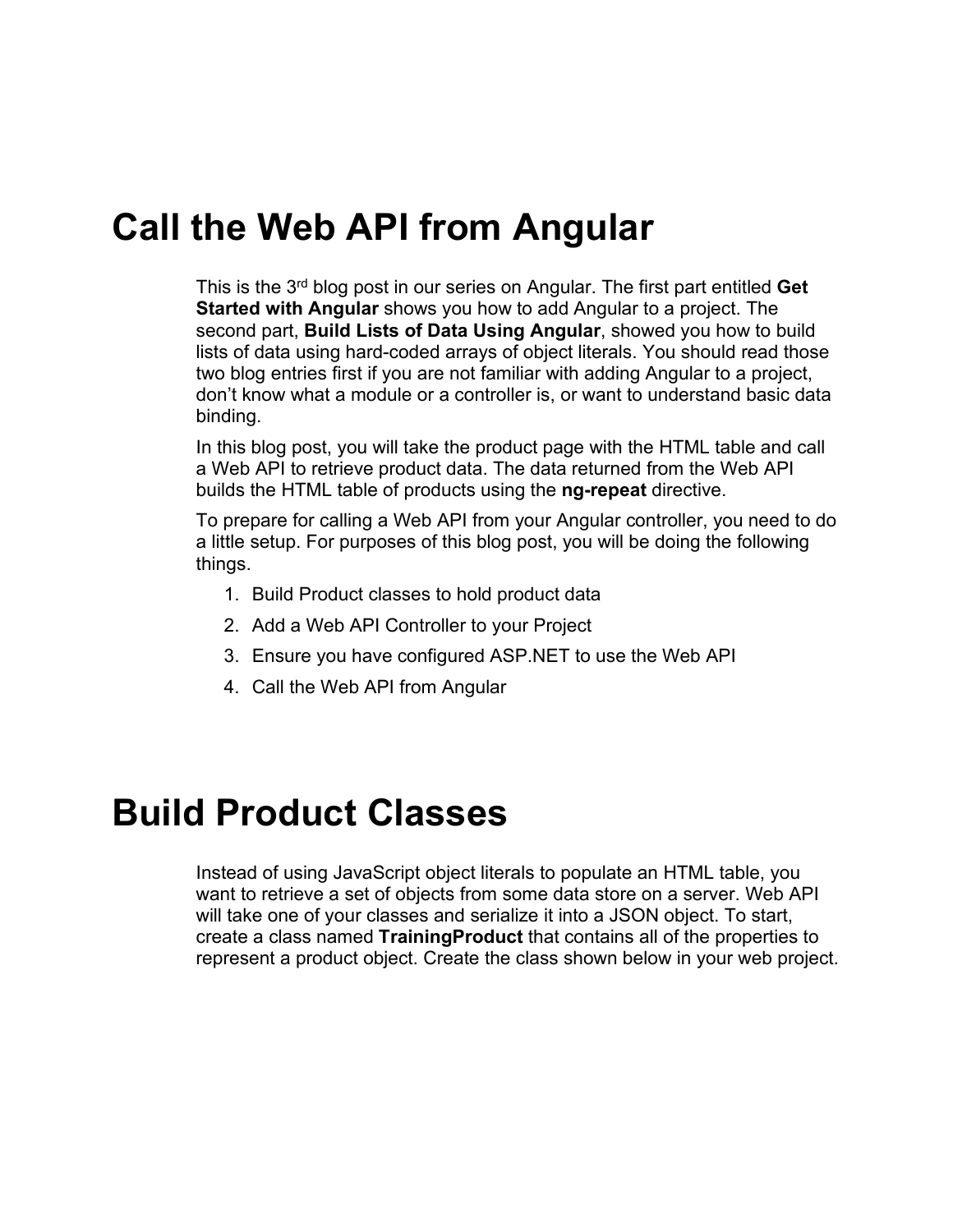#### **Call the Web API from Angular**

This is the 3rd blog post in our series on Angular. The first part entitled **Get Started with Angular** shows you how to add Angular to a project. The second part, **Build Lists of Data Using Angular**, showed you how to build lists of data using hard-coded arrays of object literals. You should read those two blog entries first if you are not familiar with adding Angular to a project, don't know what a module or a controller is, or want to understand basic data binding.

In this blog post, you will take the product page with the HTML table and call a Web API to retrieve product data. The data returned from the Web API builds the HTML table of products using the **ng-repeat** directive.

To prepare for calling a Web API from your Angular controller, you need to do a little setup. For purposes of this blog post, you will be doing the following things.

- 1. Build Product classes to hold product data
- 2. Add a Web API Controller to your Project
- 3. Ensure you have configured ASP.NET to use the Web API
- 4. Call the Web API from Angular

#### **Build Product Classes**

Instead of using JavaScript object literals to populate an HTML table, you want to retrieve a set of objects from some data store on a server. Web API will take one of your classes and serialize it into a JSON object. To start, create a class named **TrainingProduct** that contains all of the properties to represent a product object. Create the class shown below in your web project.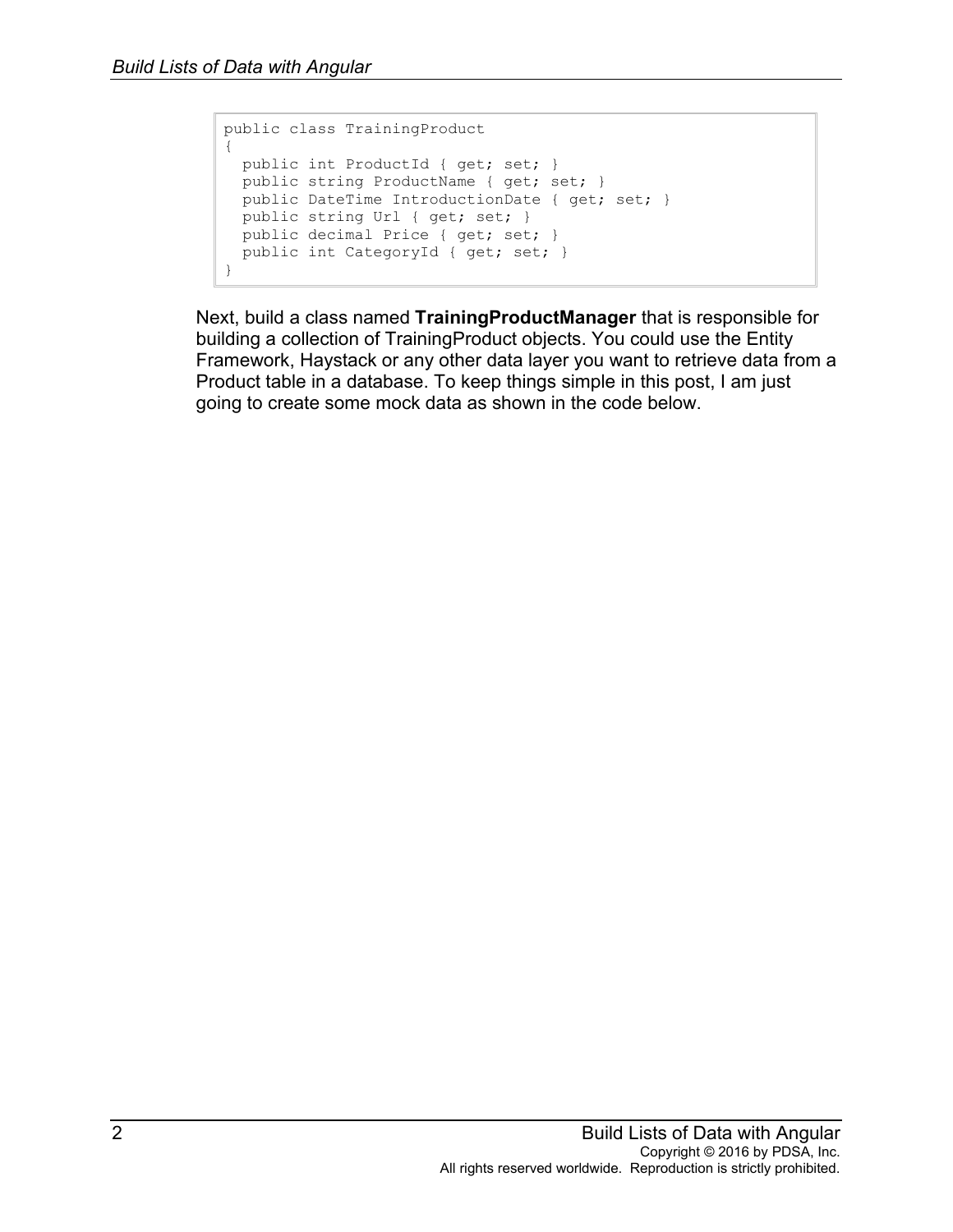```
public class TrainingProduct
{
  public int ProductId { get; set; }
  public string ProductName { get; set; }
  public DateTime IntroductionDate { get; set; }
  public string Url { get; set; }
  public decimal Price { get; set; }
  public int CategoryId { get; set; }
}
```
Next, build a class named **TrainingProductManager** that is responsible for building a collection of TrainingProduct objects. You could use the Entity Framework, Haystack or any other data layer you want to retrieve data from a Product table in a database. To keep things simple in this post, I am just going to create some mock data as shown in the code below.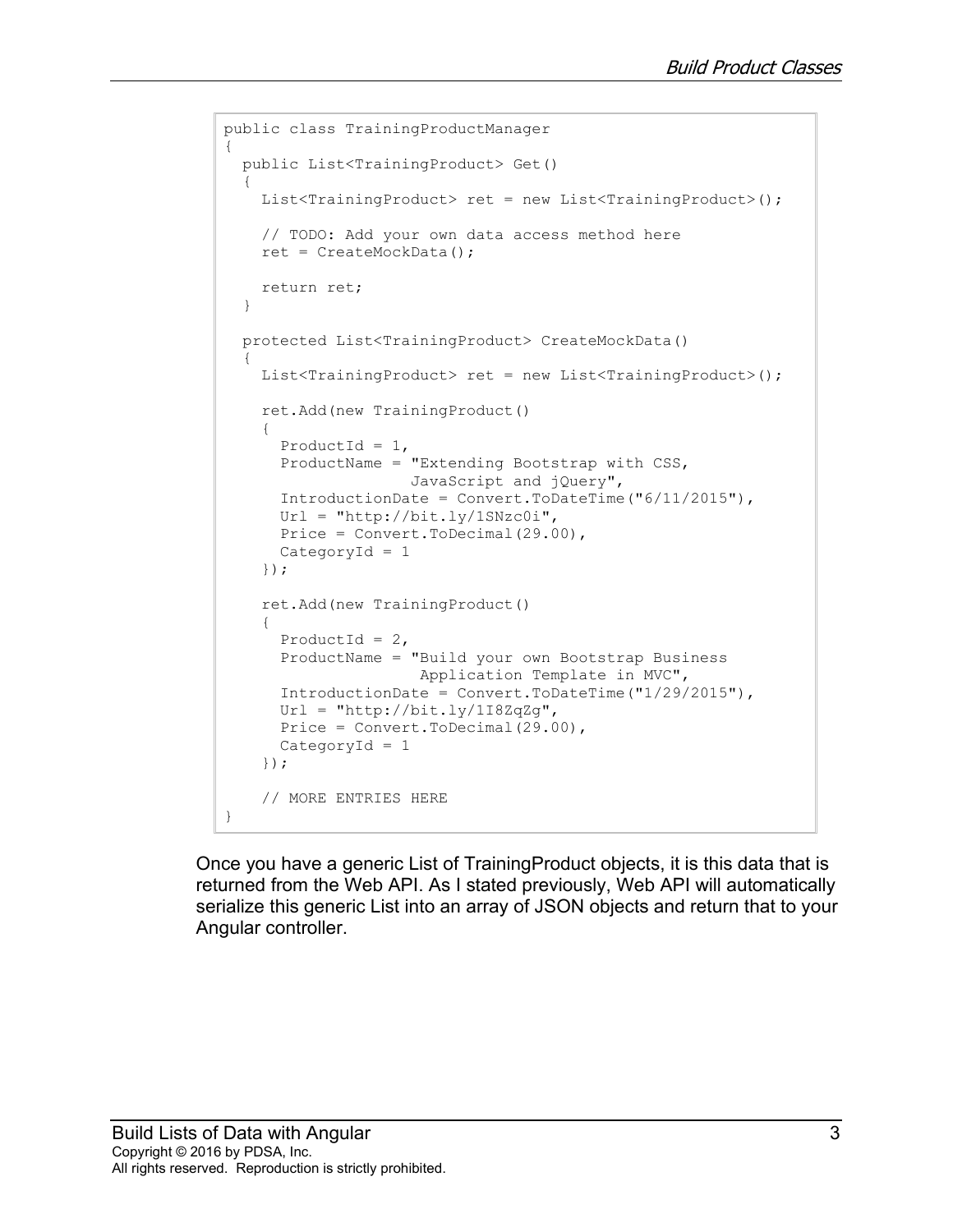```
public class TrainingProductManager
{
  public List<TrainingProduct> Get()
\{List<TrainingProduct> ret = new List<TrainingProduct>();
     // TODO: Add your own data access method here
     ret = CreateMockData();
     return ret;
   }
  protected List<TrainingProduct> CreateMockData()
\{List<TrainingProduct> ret = new List<TrainingProduct>();
     ret.Add(new TrainingProduct()
     {
      ProductId = 1,
       ProductName = "Extending Bootstrap with CSS, 
                     JavaScript and jQuery",
       IntroductionDate = Convert.ToDateTime("6/11/2015"),
      Ur1 = "http://bit.ly/1SNzc0i",Price = Convert. ToDecimal (29.00),
       CategoryId = 1
     });
     ret.Add(new TrainingProduct()
     {
      ProductId = 2,
       ProductName = "Build your own Bootstrap Business
                      Application Template in MVC",
      IntroductionDate = Convert. ToDateTime ("1/29/2015"),
      Url = "http://bit.ly/1I8ZqZg",
      Price = Convert. ToDecimal (29.00),
       CategoryId = 1
     });
     // MORE ENTRIES HERE
}
```
Once you have a generic List of TrainingProduct objects, it is this data that is returned from the Web API. As I stated previously, Web API will automatically serialize this generic List into an array of JSON objects and return that to your Angular controller.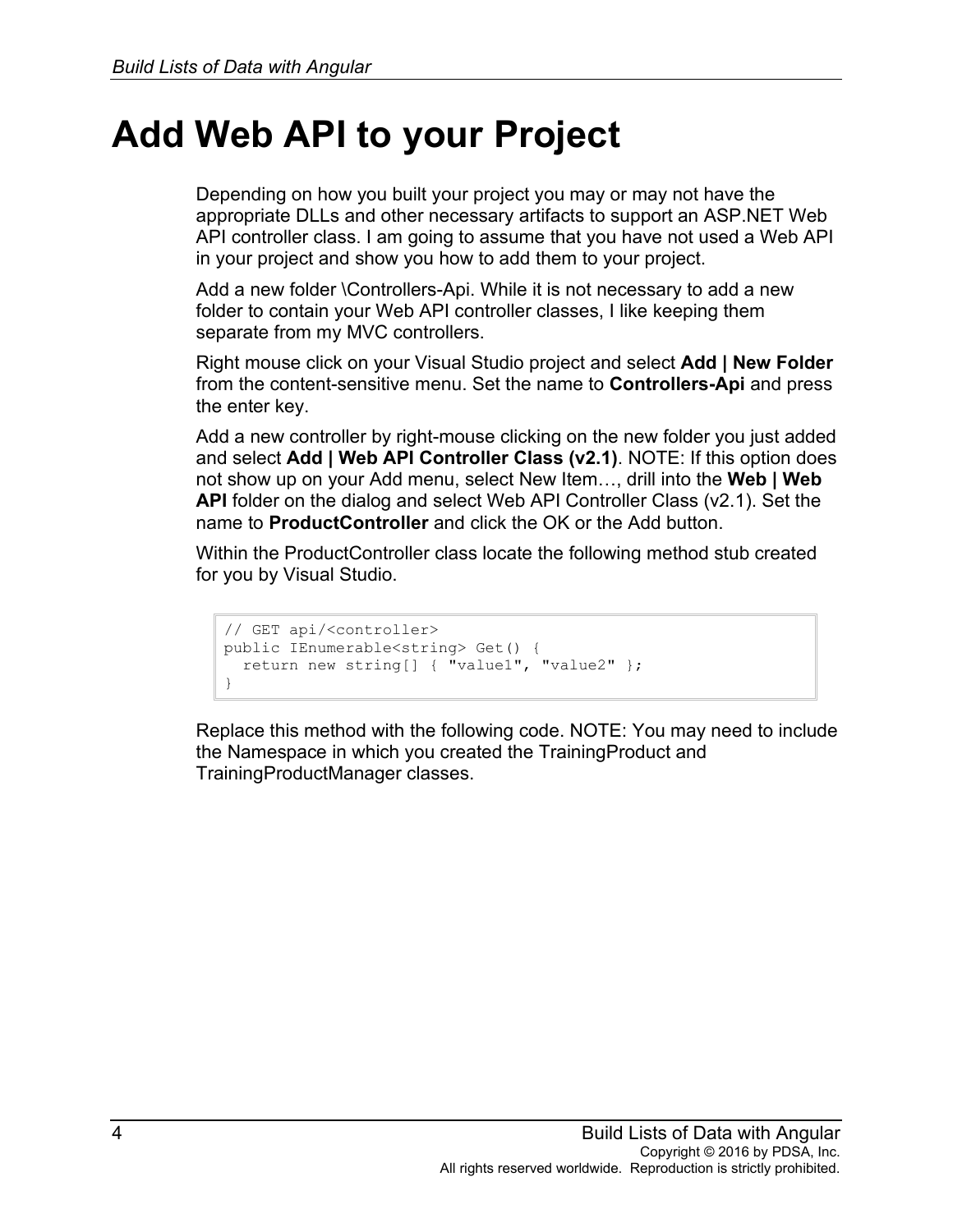#### **Add Web API to your Project**

Depending on how you built your project you may or may not have the appropriate DLLs and other necessary artifacts to support an ASP.NET Web API controller class. I am going to assume that you have not used a Web API in your project and show you how to add them to your project.

Add a new folder \Controllers-Api. While it is not necessary to add a new folder to contain your Web API controller classes, I like keeping them separate from my MVC controllers.

Right mouse click on your Visual Studio project and select **Add | New Folder** from the content-sensitive menu. Set the name to **Controllers-Api** and press the enter key.

Add a new controller by right-mouse clicking on the new folder you just added and select **Add | Web API Controller Class (v2.1)**. NOTE: If this option does not show up on your Add menu, select New Item…, drill into the **Web | Web API** folder on the dialog and select Web API Controller Class (v2.1). Set the name to **ProductController** and click the OK or the Add button.

Within the ProductController class locate the following method stub created for you by Visual Studio.

```
// GET api/<controller>
public IEnumerable<string> Get() {
  return new string[] { "value1", "value2" };
}
```
Replace this method with the following code. NOTE: You may need to include the Namespace in which you created the TrainingProduct and TrainingProductManager classes.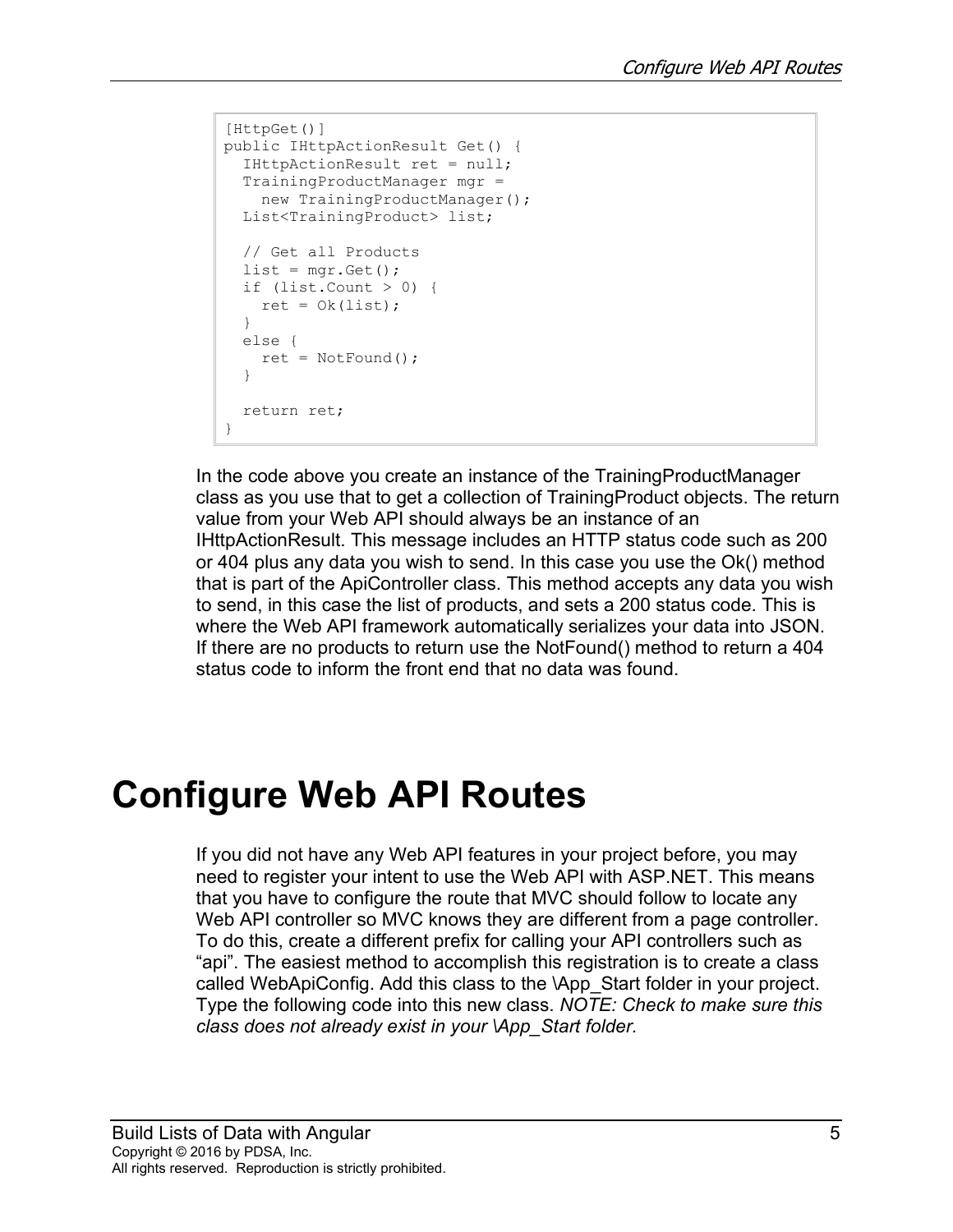```
[HttpGet()]
public IHttpActionResult Get() {
  IHttpActionResult ret = null;
  TrainingProductManager mgr =
  new TrainingProductManager();
  List<TrainingProduct> list;
  // Get all Products
 list = mqr.Get();if (list.Count > 0) {
  ret = Ok(list); }
  else {
    ret = NotFound();
   }
  return ret;
}
```
In the code above you create an instance of the TrainingProductManager class as you use that to get a collection of TrainingProduct objects. The return value from your Web API should always be an instance of an IHttpActionResult. This message includes an HTTP status code such as 200 or 404 plus any data you wish to send. In this case you use the Ok() method that is part of the ApiController class. This method accepts any data you wish to send, in this case the list of products, and sets a 200 status code. This is where the Web API framework automatically serializes your data into JSON. If there are no products to return use the NotFound() method to return a 404 status code to inform the front end that no data was found.

## **Configure Web API Routes**

If you did not have any Web API features in your project before, you may need to register your intent to use the Web API with ASP.NET. This means that you have to configure the route that MVC should follow to locate any Web API controller so MVC knows they are different from a page controller. To do this, create a different prefix for calling your API controllers such as "api". The easiest method to accomplish this registration is to create a class called WebApiConfig. Add this class to the \App\_Start folder in your project. Type the following code into this new class. *NOTE: Check to make sure this class does not already exist in your \App\_Start folder.*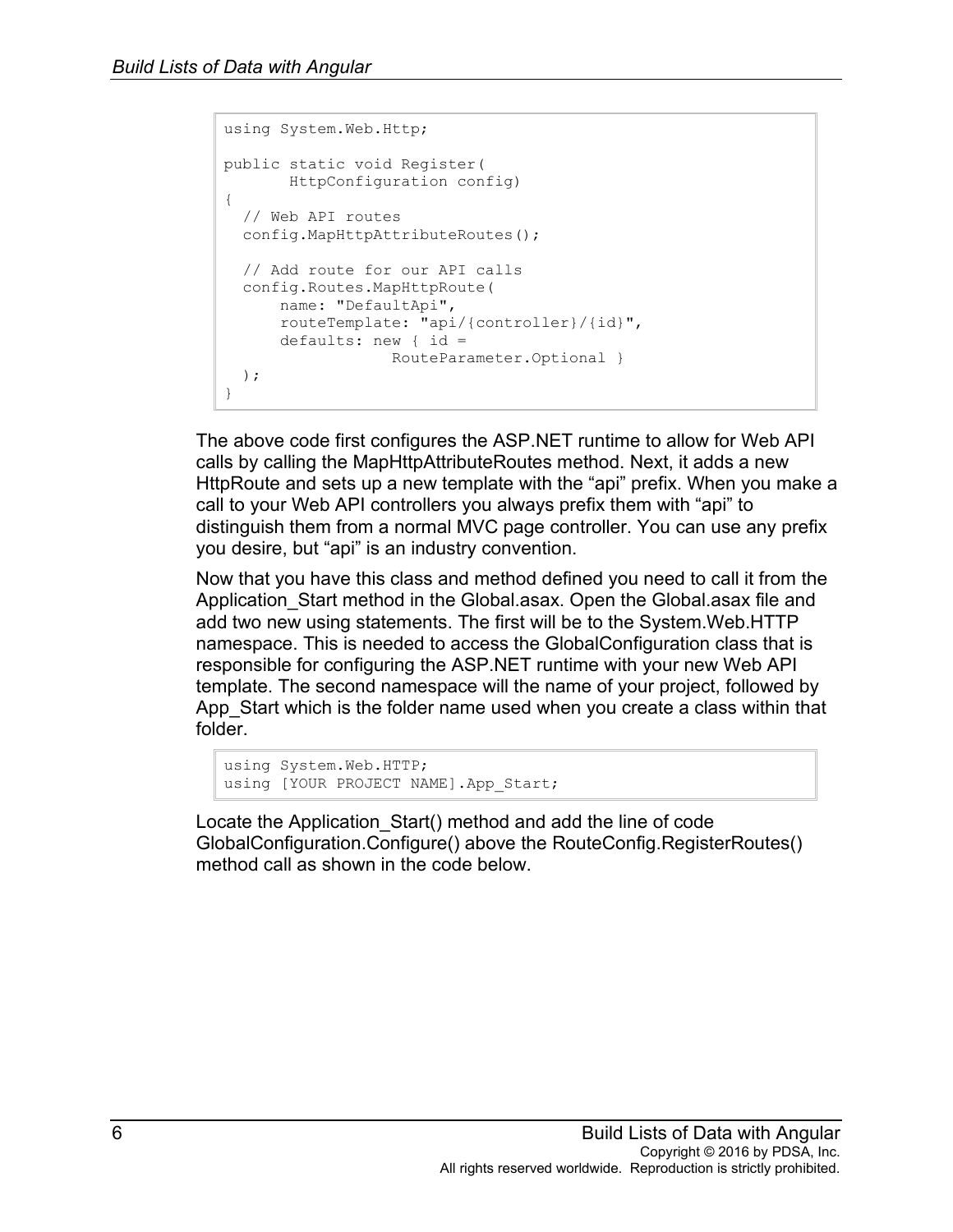```
using System.Web.Http;
public static void Register(
       HttpConfiguration config)
{
  // Web API routes
  config.MapHttpAttributeRoutes();
  // Add route for our API calls
   config.Routes.MapHttpRoute(
      name: "DefaultApi",
      routeTemplate: "api/{controller}/{id}",
      defaults: new { id =
                   RouteParameter.Optional }
  );
}
```
The above code first configures the ASP.NET runtime to allow for Web API calls by calling the MapHttpAttributeRoutes method. Next, it adds a new HttpRoute and sets up a new template with the "api" prefix. When you make a call to your Web API controllers you always prefix them with "api" to distinguish them from a normal MVC page controller. You can use any prefix you desire, but "api" is an industry convention.

Now that you have this class and method defined you need to call it from the Application\_Start method in the Global.asax. Open the Global.asax file and add two new using statements. The first will be to the System.Web.HTTP namespace. This is needed to access the GlobalConfiguration class that is responsible for configuring the ASP.NET runtime with your new Web API template. The second namespace will the name of your project, followed by App Start which is the folder name used when you create a class within that folder.

```
using System.Web.HTTP;
using [YOUR PROJECT NAME].App Start;
```
Locate the Application\_Start() method and add the line of code GlobalConfiguration.Configure() above the RouteConfig.RegisterRoutes() method call as shown in the code below.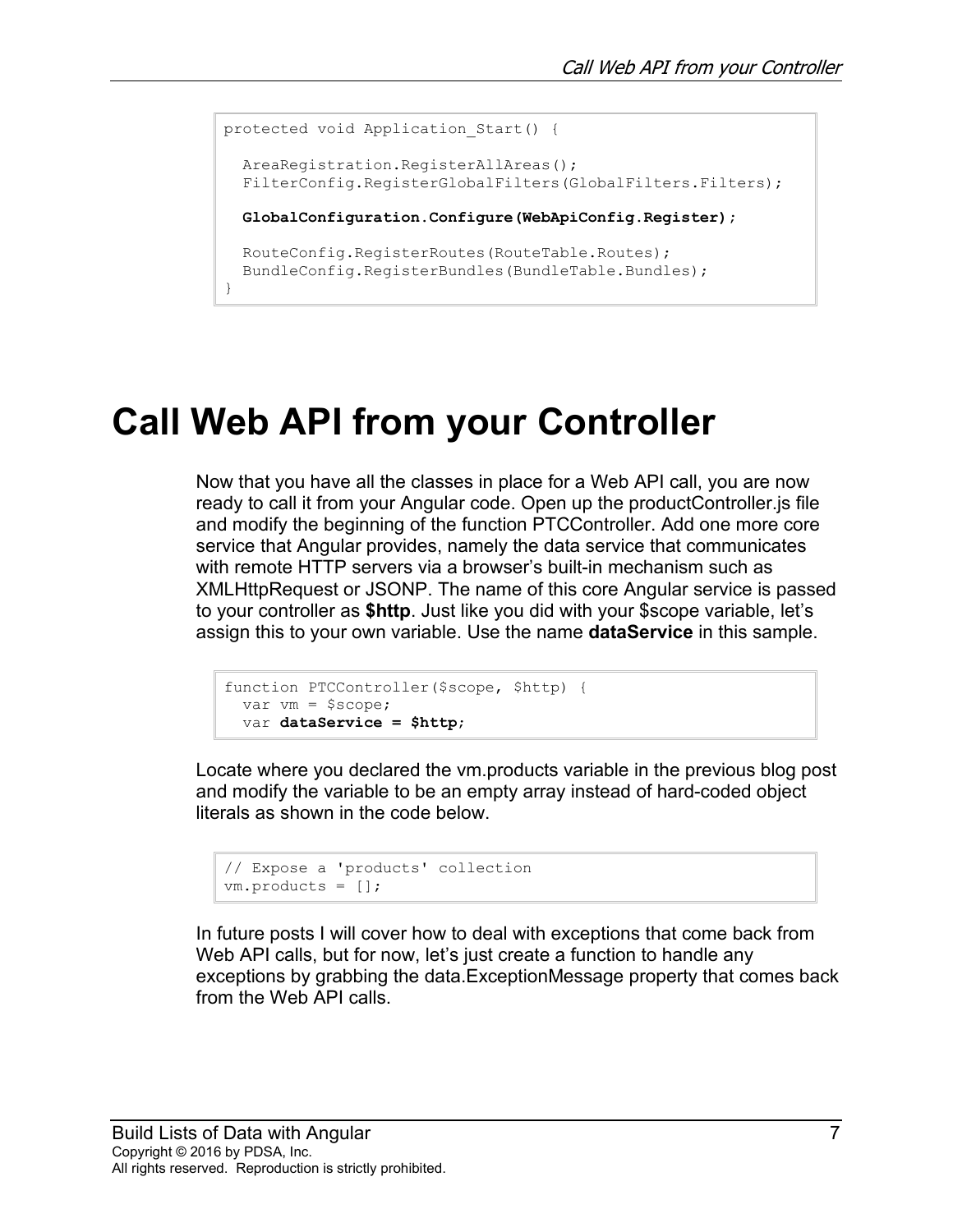```
protected void Application Start() {
 AreaRegistration.RegisterAllAreas();
  FilterConfig.RegisterGlobalFilters(GlobalFilters.Filters);
  GlobalConfiguration.Configure(WebApiConfig.Register);
   RouteConfig.RegisterRoutes(RouteTable.Routes);
   BundleConfig.RegisterBundles(BundleTable.Bundles);
}
```
# **Call Web API from your Controller**

Now that you have all the classes in place for a Web API call, you are now ready to call it from your Angular code. Open up the productController.js file and modify the beginning of the function PTCController. Add one more core service that Angular provides, namely the data service that communicates with remote HTTP servers via a browser's built-in mechanism such as XMLHttpRequest or JSONP. The name of this core Angular service is passed to your controller as **\$http**. Just like you did with your \$scope variable, let's assign this to your own variable. Use the name **dataService** in this sample.

```
function PTCController($scope, $http) {
  var vm = $scope;
  var dataService = $http;
```
Locate where you declared the vm.products variable in the previous blog post and modify the variable to be an empty array instead of hard-coded object literals as shown in the code below.

```
// Expose a 'products' collection
vm.products = [];
```
In future posts I will cover how to deal with exceptions that come back from Web API calls, but for now, let's just create a function to handle any exceptions by grabbing the data.ExceptionMessage property that comes back from the Web API calls.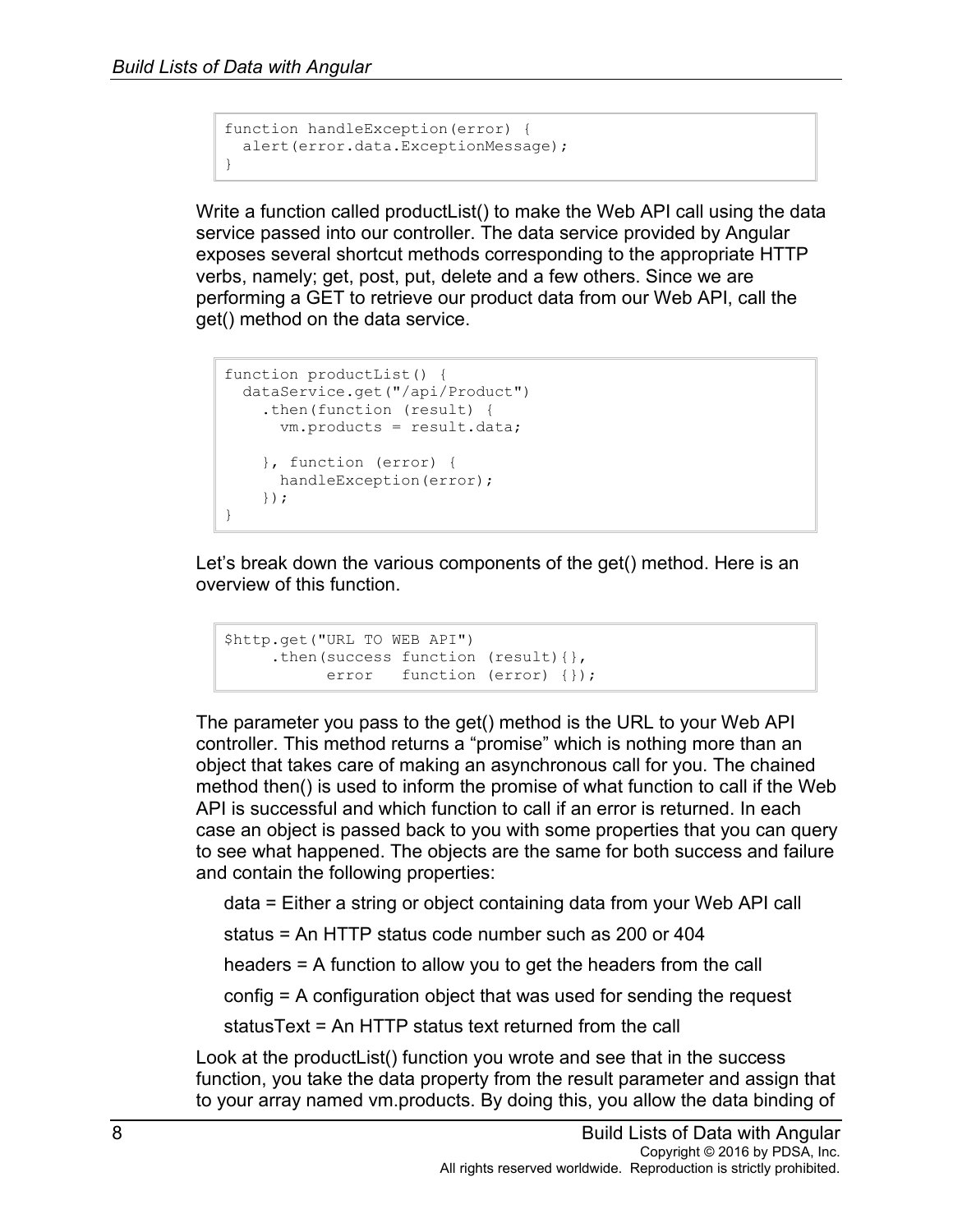```
function handleException(error) {
  alert(error.data.ExceptionMessage);
}
```
Write a function called productList() to make the Web API call using the data service passed into our controller. The data service provided by Angular exposes several shortcut methods corresponding to the appropriate HTTP verbs, namely; get, post, put, delete and a few others. Since we are performing a GET to retrieve our product data from our Web API, call the get() method on the data service.

```
function productList() {
  dataService.get("/api/Product")
    .then(function (result) {
      vm.products = result.data;
    }, function (error) {
     handleException(error);
    });
}
```
Let's break down the various components of the get() method. Here is an overview of this function.

```
$http.get("URL TO WEB API")
     .then(success function (result){}, 
           error function (error) {});
```
The parameter you pass to the get() method is the URL to your Web API controller. This method returns a "promise" which is nothing more than an object that takes care of making an asynchronous call for you. The chained method then() is used to inform the promise of what function to call if the Web API is successful and which function to call if an error is returned. In each case an object is passed back to you with some properties that you can query to see what happened. The objects are the same for both success and failure and contain the following properties:

data = Either a string or object containing data from your Web API call

status = An HTTP status code number such as 200 or 404

headers = A function to allow you to get the headers from the call

config = A configuration object that was used for sending the request

statusText = An HTTP status text returned from the call

Look at the productList() function you wrote and see that in the success function, you take the data property from the result parameter and assign that to your array named vm.products. By doing this, you allow the data binding of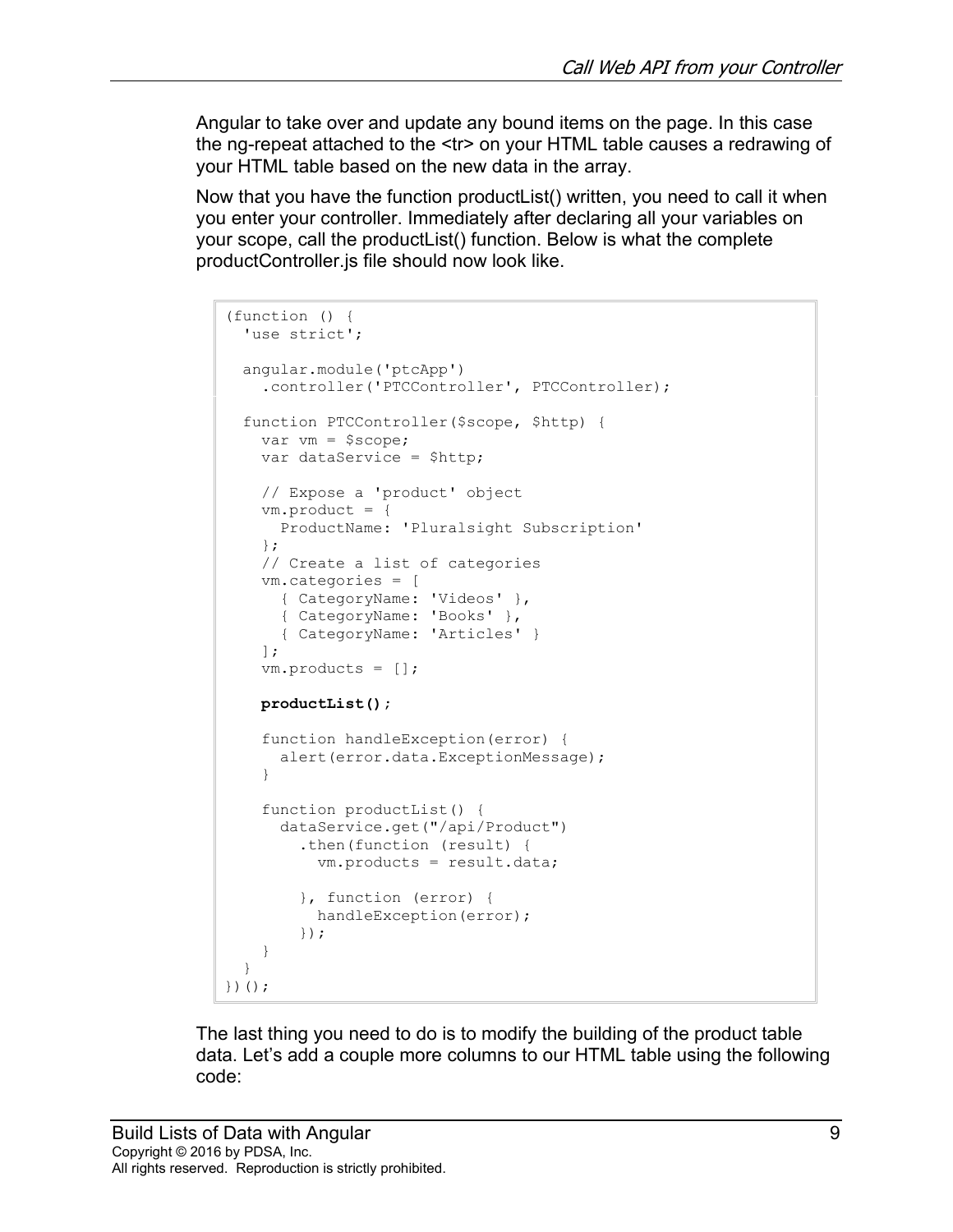Angular to take over and update any bound items on the page. In this case the ng-repeat attached to the <tr> on your HTML table causes a redrawing of your HTML table based on the new data in the array.

Now that you have the function productList() written, you need to call it when you enter your controller. Immediately after declaring all your variables on your scope, call the productList() function. Below is what the complete productController.js file should now look like.

```
(function () {
  'use strict';
   angular.module('ptcApp')
     .controller('PTCController', PTCController);
   function PTCController($scope, $http) {
   var vm = $score; var dataService = $http;
     // Expose a 'product' object
     vm.product = {
      ProductName: 'Pluralsight Subscription'
     };
     // Create a list of categories
     vm.categories = [
      { CategoryName: 'Videos' },
       { CategoryName: 'Books' },
       { CategoryName: 'Articles' }
     ];
     vm.products = [];
    productList();
     function handleException(error) {
      alert(error.data.ExceptionMessage);
     }
     function productList() {
       dataService.get("/api/Product")
         .then(function (result) {
           vm.products = result.data;
         }, function (error) {
           handleException(error);
         });
     }
   }
})();
```
The last thing you need to do is to modify the building of the product table data. Let's add a couple more columns to our HTML table using the following code: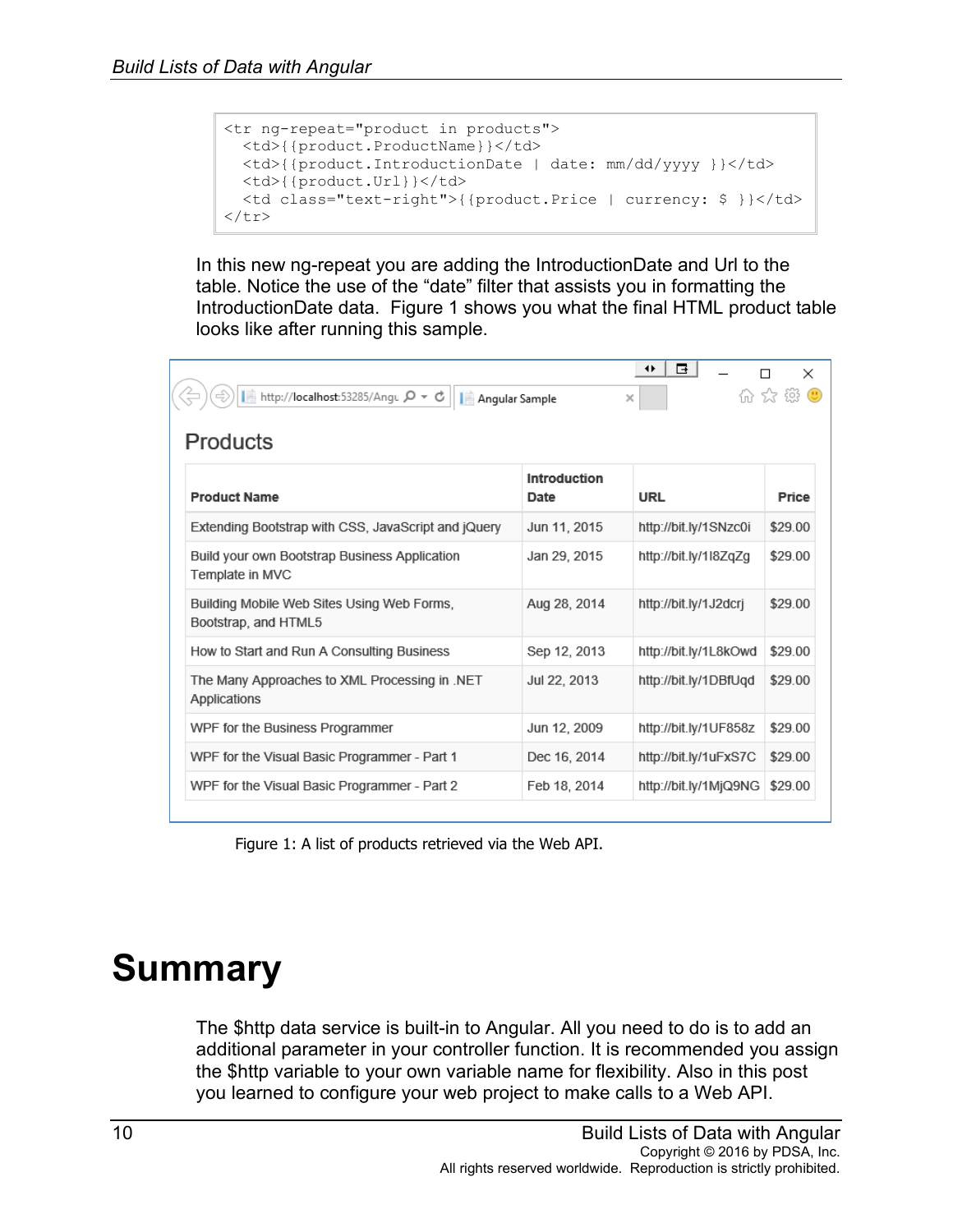```
<tr ng-repeat="product in products">
 <td>{{product.ProductName}}</td>
  <td>{{product.IntroductionDate | date: mm/dd/yyyy }}</td>
 <td>{{product.Url}}</td>
  <td class="text-right">{{product.Price | currency: $ }}</td>
\langle/tr>
```
In this new ng-repeat you are adding the IntroductionDate and Url to the table. Notice the use of the "date" filter that assists you in formatting the IntroductionDate data. Figure 1 shows you what the final HTML product table looks like after running this sample.

| $\times$<br>ん ないこと<br>■ http://localhost:53285/Angu Q - +<br>Angular Sample<br>$\times$<br>Products |                      |                       |         |
|-----------------------------------------------------------------------------------------------------|----------------------|-----------------------|---------|
| <b>Product Name</b>                                                                                 | Introduction<br>Date | URL                   | Price   |
| Extending Bootstrap with CSS, JavaScript and jQuery                                                 | Jun 11, 2015         | http://bit.ly/1SNzc0i | \$29.00 |
| Build your own Bootstrap Business Application<br>Template in MVC                                    | Jan 29, 2015         | http://bit.ly/1l8ZqZg | \$29.00 |
| Building Mobile Web Sites Using Web Forms,<br>Bootstrap, and HTML5                                  | Aug 28, 2014         | http://bit.ly/1J2dcrj | \$29.00 |
| How to Start and Run A Consulting Business                                                          | Sep 12, 2013         | http://bit.ly/1L8kOwd | \$29.00 |
| The Many Approaches to XML Processing in .NET<br>Applications                                       | Jul 22, 2013         | http://bit.ly/1DBfUgd | \$29.00 |
| WPF for the Business Programmer                                                                     | Jun 12, 2009         | http://bit.ly/1UF858z | \$29.00 |
| WPF for the Visual Basic Programmer - Part 1                                                        | Dec 16, 2014         | http://bit.ly/1uFxS7C | \$29.00 |
| WPF for the Visual Basic Programmer - Part 2                                                        | Feb 18, 2014         | http://bit.ly/1MjQ9NG | \$29.00 |

Figure 1: A list of products retrieved via the Web API.

## **Summary**

The \$http data service is built-in to Angular. All you need to do is to add an additional parameter in your controller function. It is recommended you assign the \$http variable to your own variable name for flexibility. Also in this post you learned to configure your web project to make calls to a Web API.